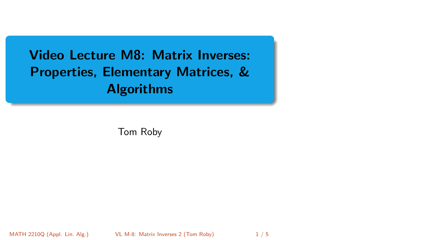<span id="page-0-0"></span>Video Lecture M8: Matrix Inverses: Properties, Elementary Matrices, & Algorithms

Tom Roby

MATH 2210Q (Appl. Lin. Alg.) [VL M-8: Matrix Inverses 2](#page-4-0) (Tom Roby) 1/5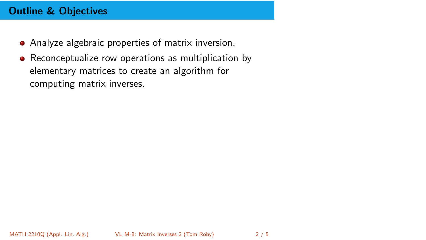# Outline & Objectives

- Analyze algebraic properties of matrix inversion.
- Reconceptualize row operations as multiplication by elementary matrices to create an algorithm for computing matrix inverses.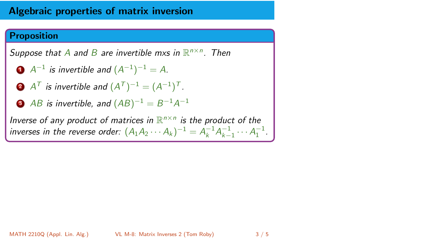### Algebraic properties of matrix inversion

#### Proposition

Suppose that A and B are invertible mxs in  $\mathbb{R}^{n \times n}$ . Then

- $\mathbf{1}$   $A^{-1}$  is invertible and  $(A^{-1})^{-1} = A$ .
- $\mathbf{A}^{\mathcal{T}}$  is invertible and  $(A^{\mathcal{T}})^{-1}=(A^{-1})^{\mathcal{T}}.$
- **3** AB is invertible, and  $(AB)^{-1} = B^{-1}A^{-1}$

Inverse of any product of matrices in  $\mathbb{R}^{n \times n}$  is the product of the inverses in the reverse order:  $(A_1A_2 \cdots A_k)^{-1} = A_k^{-1}A_{k-1}^{-1} \cdots A_1^{-1}$ .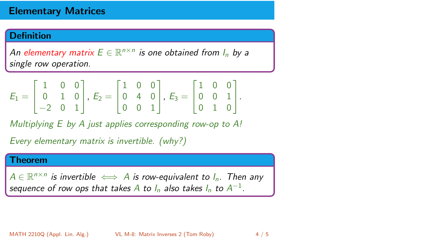## Elementary Matrices

#### **Definition**

An elementary matrix  $E \in \mathbb{R}^{n \times n}$  is one obtained from  $I_n$  by a single row operation.

$$
E_1 = \begin{bmatrix} 1 & 0 & 0 \\ 0 & 1 & 0 \\ -2 & 0 & 1 \end{bmatrix}, E_2 = \begin{bmatrix} 1 & 0 & 0 \\ 0 & 4 & 0 \\ 0 & 0 & 1 \end{bmatrix}, E_3 = \begin{bmatrix} 1 & 0 & 0 \\ 0 & 0 & 1 \\ 0 & 1 & 0 \end{bmatrix}.
$$

Multiplying E by A just applies corresponding row-op to A!

Every elementary matrix is invertible. (why?)

#### Theorem

 $A \in \mathbb{R}^{n \times n}$  is invertible  $\iff A$  is row-equivalent to  $I_n$ . Then any sequence of row ops that takes  $A$  to  $I_n$  also takes  $I_n$  to  $A^{-1}.$ 

MATH 2210Q (Appl. Lin. Alg.) [VL M-8: Matrix Inverses 2](#page-0-0) (Tom Roby) 4 / 5